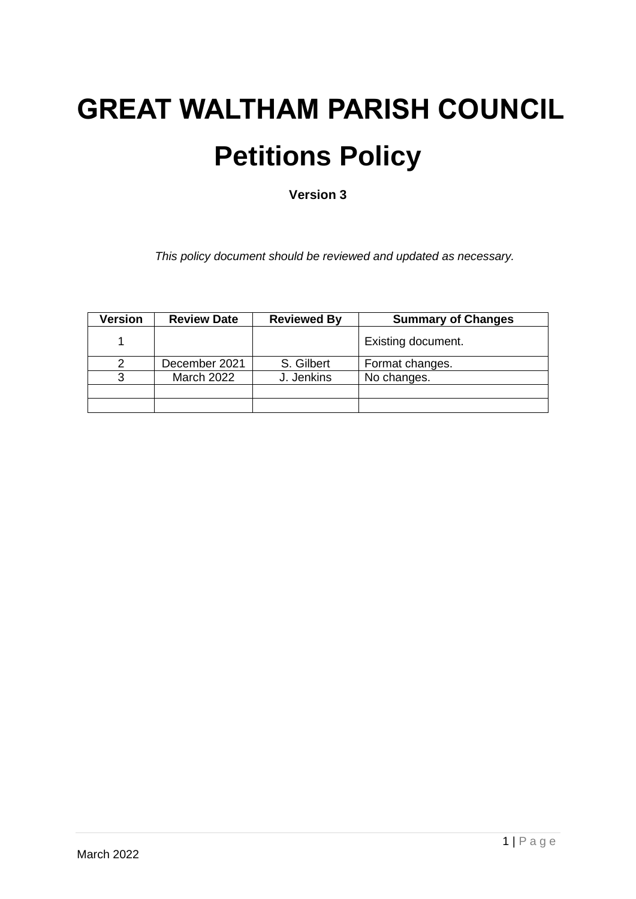# **GREAT WALTHAM PARISH COUNCIL Petitions Policy**

**Version 3**

*This policy document should be reviewed and updated as necessary.*

| Version | <b>Review Date</b> | <b>Reviewed By</b> | <b>Summary of Changes</b> |
|---------|--------------------|--------------------|---------------------------|
|         |                    |                    | Existing document.        |
|         | December 2021      | S. Gilbert         | Format changes.           |
|         | <b>March 2022</b>  | J. Jenkins         | No changes.               |
|         |                    |                    |                           |
|         |                    |                    |                           |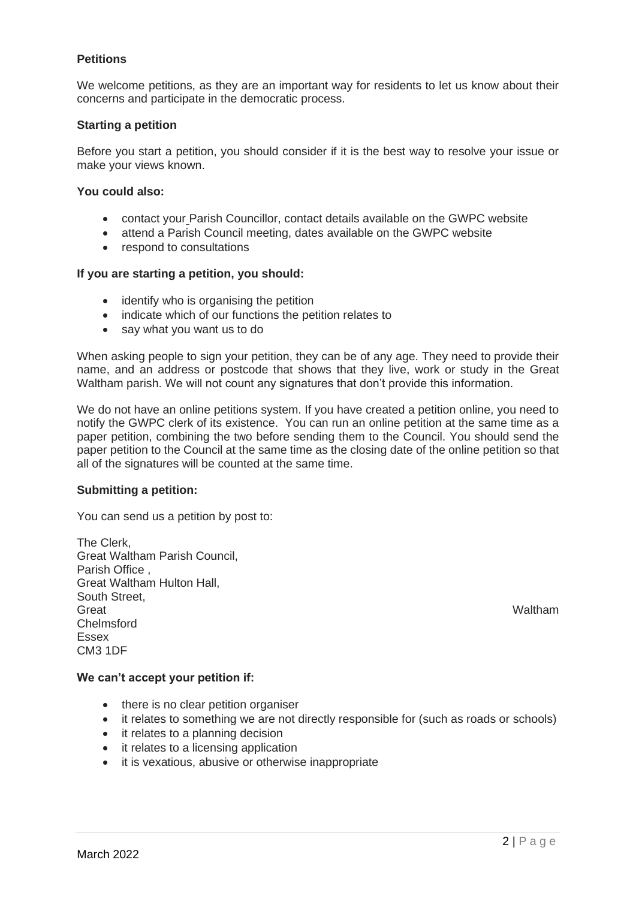# **Petitions**

We welcome petitions, as they are an important way for residents to let us know about their concerns and participate in the democratic process.

### **Starting a petition**

Before you start a petition, you should consider if it is the best way to resolve your issue or make your views known.

#### **You could also:**

- contact you[r](https://www.chelmsford.gov.uk/your-council/councillors-committees-and-decision-making/councillors/find-a-councillor/) Parish Councillor, contact details available on the GWPC website
- attend a Parish Council meeting, dates available on the GWPC website
- respond to consultations

## **If you are starting a petition, you should:**

- identify who is organising the petition
- indicate which of our functions the petition relates to
- say what you want us to do

When asking people to sign your petition, they can be of any age. They need to provide their name, and an address or postcode that shows that they live, work or study in the Great Waltham parish. We will not count any signatures that don't provide this information.

We do not have an online petitions system. If you have created a petition online, you need to notify the GWPC clerk of its existence. You can run an online petition at the same time as a paper petition, combining the two before sending them to the Council. You should send the paper petition to the Council at the same time as the closing date of the online petition so that all of the signatures will be counted at the same time.

#### **Submitting a petition:**

You can send us a petition by post to:

The Clerk, Great Waltham Parish Council, Parish Office , Great Waltham Hulton Hall, South Street, Great **Great** Waltham Chelmsford Essex CM3 1DF

#### **We can't accept your petition if:**

- there is no clear petition organiser
- it relates to something we are not directly responsible for (such as roads or schools)
- it relates to a planning decision
- it relates to a licensing application
- it is vexatious, abusive or otherwise inappropriate